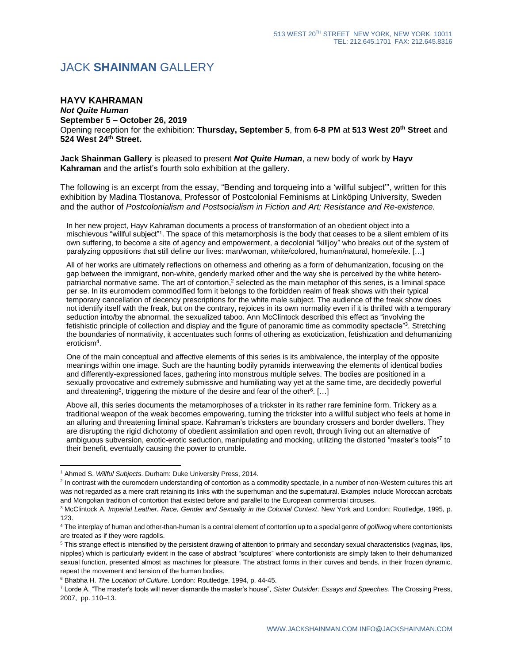## JACK **SHAINMAN** GALLERY

## **HAYV KAHRAMAN**

*Not Quite Human* **September 5 – October 26, 2019** Opening reception for the exhibition: **Thursday, September 5**, from **6-8 PM** at **513 West 20th Street** and **524 West 24th Street.**

**Jack Shainman Gallery** is pleased to present *Not Quite Human*, a new body of work by **Hayv Kahraman** and the artist's fourth solo exhibition at the gallery.

The following is an excerpt from the essay, "Bending and torqueing into a 'willful subject'", written for this exhibition by Madina Tlostanova, Professor of Postcolonial Feminisms at Linköping University, Sweden and the author of *Postcolonialism and Postsocialism in Fiction and Art: Resistance and Re-existence.*

In her new project, Hayv Kahraman documents a process of transformation of an obedient object into a mischievous "willful subject"<sup>1</sup>. The space of this metamorphosis is the body that ceases to be a silent emblem of its own suffering, to become a site of agency and empowerment, a decolonial "killjoy" who breaks out of the system of paralyzing oppositions that still define our lives: man/woman, white/colored, human/natural, home/exile. […]

All of her works are ultimately reflections on otherness and othering as a form of dehumanization, focusing on the gap between the immigrant, non-white, genderly marked other and the way she is perceived by the white heteropatriarchal normative same. The art of contortion,<sup>2</sup> selected as the main metaphor of this series, is a liminal space per se. In its euromodern commodified form it belongs to the forbidden realm of freak shows with their typical temporary cancellation of decency prescriptions for the white male subject. The audience of the freak show does not identify itself with the freak, but on the contrary, rejoices in its own normality even if it is thrilled with a temporary seduction into/by the abnormal, the sexualized taboo. Ann McClintock described this effect as "involving the fetishistic principle of collection and display and the figure of panoramic time as commodity spectacle"<sup>3</sup>. Stretching the boundaries of normativity, it accentuates such forms of othering as exoticization, fetishization and dehumanizing eroticism<sup>4</sup> .

One of the main conceptual and affective elements of this series is its ambivalence, the interplay of the opposite meanings within one image. Such are the haunting bodily pyramids interweaving the elements of identical bodies and differently-expressioned faces, gathering into monstrous multiple selves. The bodies are positioned in a sexually provocative and extremely submissive and humiliating way yet at the same time, are decidedly powerful and threatening<sup>5</sup>, triggering the mixture of the desire and fear of the other<sup>6</sup>. [...]

Above all, this series documents the metamorphoses of a trickster in its rather rare feminine form. Trickery as a traditional weapon of the weak becomes empowering, turning the trickster into a willful subject who feels at home in an alluring and threatening liminal space. Kahraman's tricksters are boundary crossers and border dwellers. They are disrupting the rigid dichotomy of obedient assimilation and open revolt, through living out an alternative of ambiguous subversion, exotic-erotic seduction, manipulating and mocking, utilizing the distorted "master's tools"7 to their benefit, eventually causing the power to crumble.

<sup>1</sup> Ahmed S. *Willful Subjects*. Durham: Duke University Press, 2014.

<sup>&</sup>lt;sup>2</sup> In contrast with the euromodern understanding of contortion as a commodity spectacle, in a number of non-Western cultures this art was not regarded as a mere craft retaining its links with the superhuman and the supernatural. Examples include Moroccan acrobats and Mongolian tradition of contortion that existed before and parallel to the European commercial circuses.

<sup>3</sup> McClintock A. *Imperial Leather. Race, Gender and Sexuality in the Colonial Context*. New York and London: Routledge, 1995, p. 123.

<sup>4</sup> The interplay of human and other-than-human is a central element of contortion up to a special genre of *golliwog* where contortionists are treated as if they were ragdolls.

<sup>&</sup>lt;sup>5</sup> This strange effect is intensified by the persistent drawing of attention to primary and secondary sexual characteristics (vaginas, lips, nipples) which is particularly evident in the case of abstract "sculptures" where contortionists are simply taken to their dehumanized sexual function, presented almost as machines for pleasure. The abstract forms in their curves and bends, in their frozen dynamic, repeat the movement and tension of the human bodies.

<sup>6</sup> Bhabha H. *The Location of Culture*. London: Routledge, 1994, p. 44-45.

<sup>7</sup> Lorde A. "The master's tools will never dismantle the master's house", *Sister Outsider: Essays and Speeches*. The Crossing Press, 2007, pp. 110–13.